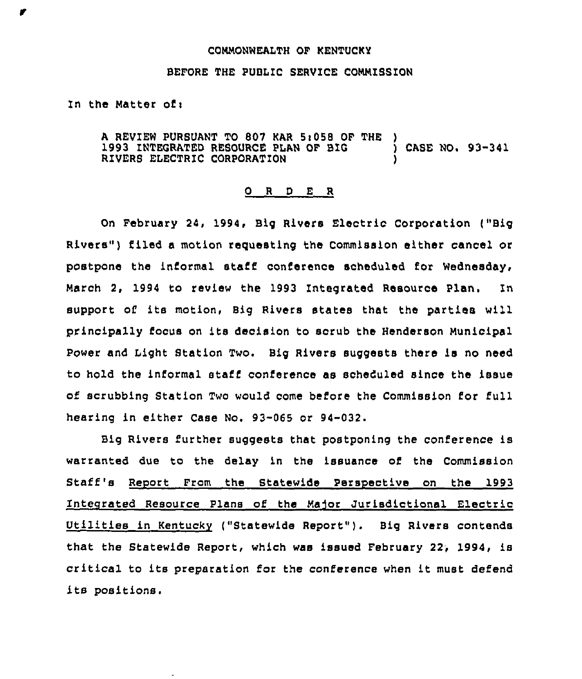## COMMONWEALTH OF KENTUCKY

## BEFORE THE PUBLIC SERVICE COMMISSION

## In the Matter of <sup>i</sup>

A REVIEW PURSUANT TO 807 KAR 5:058 OF THE )<br>1993 INTEGRATED RESOURCE PLAN OF BIG (ASE NO. 93-341) 1993 INTEGRATED RESOURCE PLAN OF BIG RIVERS ELECTRIC CORPORATION )

## 0 <sup>R</sup> <sup>D</sup> E R

On February 24, 1994, Big Rivers Electric Corporation ("Big Rivers") filed a motion requesting the Commission either cancel or postpone the informal staff conference scheduled for Wednesday, March 2, 1994 to review the 1993 Integrated Resource Plan. In support of its motion, Big Rivers states that the parties will principally focus on its decision to scrub the Henderson Municipal Power and Light Station Two. Big Rivers suggests there is no need to hold the informal staff conference as scheduled since the issue of scrubbing Station Two would come before the Commission for full hearing in either Case No. 93-065 or 94-032.

Big Rivers further suggests that postponing the conference is warranted due to the delay in the issuance of the Commission Staff's Report From the Statewide Perspective on the 1993 Integrated Resource Plans of the Major Jurisdictional Electric Utilities in Kentucky ("Statewide Report"}. Big Rivers contends that the Statewide Report, which was issued February 22, 1994, is critical to its preparation for the conference when it must defend its positions.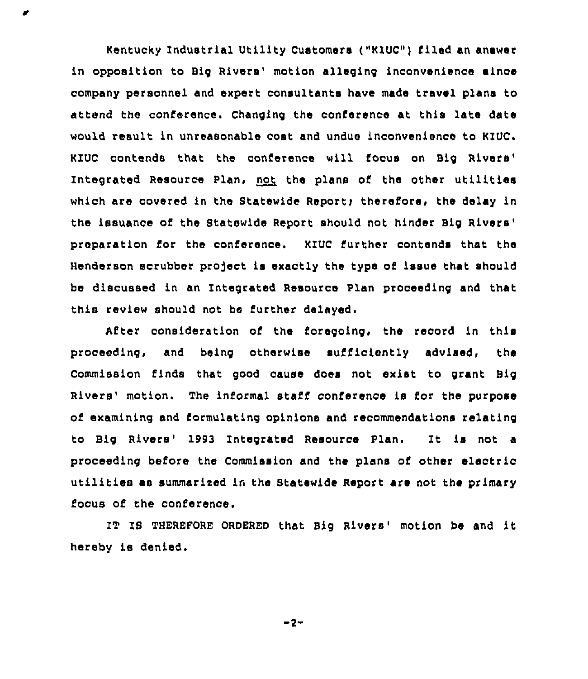Kentucky Industrial Utility Customers ("KZUC") filed an answer in opposition to Big Rivers' motion alleging inconvenience aince company personnel and expert consultants have made travel plans to attend the conference. Changing the conference at this late date would result in unreasonable cost and undue inconvenience to KIUC. KIUC contends that the conference will focus on Big Resource Plan, not the plans of the other utilitie which are covered in the Statewide Report; therefore, the delay in the issuance of the Statewide Report should not hinder Big preparation for the conference. KIUC further contends that the Henderson scrubber project is exactly the type of issue that should be discussed in an Integrated Resource Plan proceeding and that this review should not be further delayed.

After consideration of the foregoing, the record in this proceeding, and being otherwise sufficiently advised, the Commission finds that good cause does not exist to grant Big Rivers' motion. The informal staff conference is for the purpose of examining and formulating opinions and recommendations relating to Big Rivers' 1993 Integrated Resource Plan. It is not a proceeding before the Commission and the plans of other electric utilities as summarized in the Statewide Report are not the primary focus of the conference.

IT IS THEREFORE ORDERED that Big Rivers' motion be and it hereby is denied.

 $-2-$